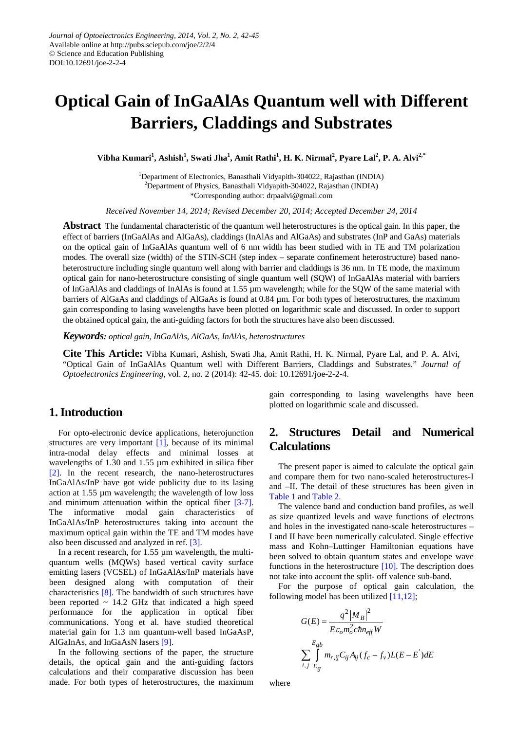# **Optical Gain of InGaAlAs Quantum well with Different Barriers, Claddings and Substrates**

 $Vibha Kumari<sup>1</sup>, Ashish<sup>1</sup>, Swati Jha<sup>1</sup>, Amit Rathi<sup>1</sup>, H. K. Nirmal<sup>2</sup>, Pyare Lal<sup>2</sup>, P. A. Alvi<sup>2,*</sup>$ 

<sup>1</sup>Department of Electronics, Banasthali Vidyapith-304022, Rajasthan (INDIA) <sup>2</sup>Department of Physics, Banasthali Vidyapith-304022, Rajasthan (INDIA) \*Corresponding author: drpaalvi@gmail.com

*Received November 14, 2014; Revised December 20, 2014; Accepted December 24, 2014*

**Abstract** The fundamental characteristic of the quantum well heterostructures is the optical gain. In this paper, the effect of barriers (InGaAlAs and AlGaAs), claddings (InAlAs and AlGaAs) and substrates (InP and GaAs) materials on the optical gain of InGaAlAs quantum well of 6 nm width has been studied with in TE and TM polarization modes. The overall size (width) of the STIN-SCH (step index – separate confinement heterostructure) based nanoheterostructure including single quantum well along with barrier and claddings is 36 nm. In TE mode, the maximum optical gain for nano-heterostructure consisting of single quantum well (SQW) of InGaAlAs material with barriers of InGaAlAs and claddings of InAlAs is found at 1.55 µm wavelength; while for the SQW of the same material with barriers of AlGaAs and claddings of AlGaAs is found at 0.84 µm. For both types of heterostructures, the maximum gain corresponding to lasing wavelengths have been plotted on logarithmic scale and discussed. In order to support the obtained optical gain, the anti-guiding factors for both the structures have also been discussed.

*Keywords: optical gain, InGaAlAs, AlGaAs, InAlAs, heterostructures*

**Cite This Article:** Vibha Kumari, Ashish, Swati Jha, Amit Rathi, H. K. Nirmal, Pyare Lal, and P. A. Alvi, "Optical Gain of InGaAlAs Quantum well with Different Barriers, Claddings and Substrates." *Journal of Optoelectronics Engineering*, vol. 2, no. 2 (2014): 42-45. doi: 10.12691/joe-2-2-4.

### **1. Introduction**

For opto-electronic device applications, heterojunction structures are very important [\[1\],](#page-2-0) because of its minimal intra-modal delay effects and minimal losses at wavelengths of 1.30 and 1.55 µm exhibited in silica fiber [\[2\].](#page-2-1) In the recent research, the nano-heterostructures InGaAlAs/InP have got wide publicity due to its lasing action at 1.55 µm wavelength; the wavelength of low loss and minimum attenuation within the optical fiber [\[3-7\].](#page-2-2) The informative modal gain characteristics of InGaAlAs/InP heterostructures taking into account the maximum optical gain within the TE and TM modes have also been discussed and analyzed in ref. [\[3\].](#page-2-2)

In a recent research, for 1.55 µm wavelength, the multiquantum wells (MQWs) based vertical cavity surface emitting lasers (VCSEL) of InGaAlAs/InP materials have been designed along with computation of their characteristics [\[8\].](#page-3-0) The bandwidth of such structures have been reported  $\sim$  14.2 GHz that indicated a high speed performance for the application in optical fiber communications. Yong et al. have studied theoretical material gain for 1.3 nm quantum-well based InGaAsP, AlGaInAs, and InGaAsN lasers [\[9\].](#page-3-1)

In the following sections of the paper, the structure details, the optical gain and the anti-guiding factors calculations and their comparative discussion has been made. For both types of heterostructures, the maximum gain corresponding to lasing wavelengths have been plotted on logarithmic scale and discussed.

## **2. Structures Detail and Numerical Calculations**

The present paper is aimed to calculate the optical gain and compare them for two nano-scaled heterostructures-I and –II. The detail of these structures has been given in [Table 1](#page-1-0) and [Table 2.](#page-1-1)

The valence band and conduction band profiles, as well as size quantized levels and wave functions of electrons and holes in the investigated nano-scale heterostructures – I and II have been numerically calculated. Single effective mass and Kohn–Luttinger Hamiltonian equations have been solved to obtain quantum states and envelope wave functions in the heterostructure [\[10\].](#page-3-2) The description does not take into account the split- off valence sub-band.

For the purpose of optical gain calculation, the following model has been utilized  $[11,12]$ ;

$$
G(E) = \frac{q^2 |M_B|^2}{E\varepsilon_o m_o^2 chn_{eff}W}
$$

$$
\sum_{i,j} \int_{E_g}^{E_{gb}} m_{r,ij} C_{ij} A_{ij} (f_c - f_v) L(E - E') dE
$$

where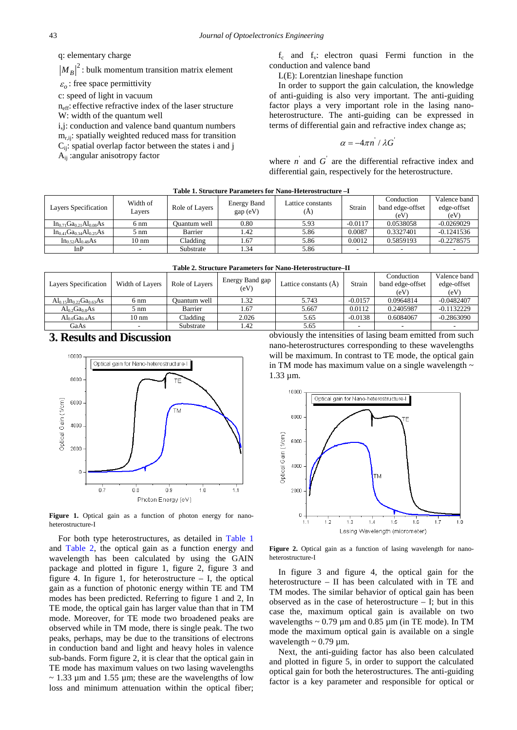q: elementary charge

 $|M_B|^2$ : bulk momentum transition matrix element

 $\varepsilon$ <sup>2</sup> : free space permittivity

c: speed of light in vacuum

neff: effective refractive index of the laser structure W: width of the quantum well

i,j: conduction and valence band quantum numbers  $m_{\text{r}}$ <sub>ii</sub>: spatially weighted reduced mass for transition Cij: spatial overlap factor between the states i and j Aij :angular anisotropy factor

 $f_c$  and  $f_v$ : electron quasi Fermi function in the conduction and valence band

L(E): Lorentzian lineshape function

In order to support the gain calculation, the knowledge of anti-guiding is also very important. The anti-guiding factor plays a very important role in the lasing nanoheterostructure. The anti-guiding can be expressed in terms of differential gain and refractive index change as;

$$
\alpha = -4\pi n^{\prime}/\lambda G
$$

where  $n'$  and  $G'$  are the differential refractive index and differential gain, respectively for the heterostructure.

<span id="page-1-0"></span>

| Table 1. Structure Parameters for Nano-Heterostructure - I |                    |                |                         |                          |           |                                        |                                     |
|------------------------------------------------------------|--------------------|----------------|-------------------------|--------------------------|-----------|----------------------------------------|-------------------------------------|
| Layers Specification                                       | Width of<br>Layers | Role of Layers | Energy Band<br>gap (eV) | Lattice constants<br>(A) | Strain    | Conduction<br>band edge-offset<br>(eV) | Valence band<br>edge-offset<br>(eV) |
| $In_{0.71}Ga_{0.21}Al_{0.08}As$                            | $6 \text{ nm}$     | Ouantum well   | 0.80                    | 5.93                     | $-0.0117$ | 0.0538058                              | $-0.0269029$                        |
| $In_{0.41}Ga_{0.34}Al_{0.25}As$                            | 5 nm               | Barrier        | 1.42                    | 5.86                     | 0.0087    | 0.3327401                              | $-0.1241536$                        |
| $In_{0.52}Al_{0.48}As$                                     | 10 nm              | Cladding       | 1.67                    | 5.86                     | 0.0012    | 0.5859193                              | $-0.2278575$                        |
| InP                                                        |                    | Substrate      | 1.34                    | 5.86                     |           |                                        |                                     |
|                                                            |                    |                |                         |                          |           |                                        |                                     |

|  |  | Table 2. Structure Parameters for Nano-Heterostructure–II |  |
|--|--|-----------------------------------------------------------|--|
|  |  |                                                           |  |

<span id="page-1-1"></span>

| Layers Specification            | Width of Layers | Role of Layers | Energy Band gap<br>(eV) | Lattice constants (A) | Strain    | Conduction<br>band edge-offset<br>(eV) | Valence band<br>edge-offset<br>(eV) |
|---------------------------------|-----------------|----------------|-------------------------|-----------------------|-----------|----------------------------------------|-------------------------------------|
| $Al_{0.15}In_{0.22}Ga_{0.63}As$ | 6 nm            | Ouantum well   | 1.32                    | 5.743                 | $-0.0157$ | 0.0964814                              | $-0.0482407$                        |
| $Al_0$ , $Ga_0$ sAs             | 5 nm            | Barrier        | 1.67                    | 5.667                 | 0.0112    | 0.2405987                              | $-0.1132229$                        |
| $Al_06Ga0.4As$                  | $10 \text{ nm}$ | Cladding       | 2.026                   | 5.65                  | $-0.0138$ | 0.6084067                              | $-0.2863090$                        |
| GaAs                            |                 | Substrate      | 1.42                    | 5.65                  |           |                                        |                                     |

#### **3. Results and Discussion**



Figure 1. Optical gain as a function of photon energy for nanoheterostructure-I

For both type heterostructures, as detailed in [Table 1](#page-1-0) and [Table 2,](#page-1-1) the optical gain as a function energy and wavelength has been calculated by using the GAIN package and plotted in figure 1, figure 2, figure 3 and figure 4. In figure 1, for heterostructure  $-$  I, the optical gain as a function of photonic energy within TE and TM modes has been predicted. Referring to figure 1 and 2, In TE mode, the optical gain has larger value than that in TM mode. Moreover, for TE mode two broadened peaks are observed while in TM mode, there is single peak. The two peaks, perhaps, may be due to the transitions of electrons in conduction band and light and heavy holes in valence sub-bands. Form figure 2, it is clear that the optical gain in TE mode has maximum values on two lasing wavelengths  $\sim$  1.33 µm and 1.55 µm; these are the wavelengths of low loss and minimum attenuation within the optical fiber; obviously the intensities of lasing beam emitted from such nano-heterostructures corresponding to these wavelengths will be maximum. In contrast to TE mode, the optical gain in TM mode has maximum value on a single wavelength  $\sim$ 1.33 µm.



Figure 2. Optical gain as a function of lasing wavelength for nanoheterostructure-I

In figure 3 and figure 4, the optical gain for the heterostructure – II has been calculated with in TE and TM modes. The similar behavior of optical gain has been observed as in the case of heterostructure  $-$  I; but in this case the, maximum optical gain is available on two wavelengths  $\sim 0.79$  µm and 0.85 µm (in TE mode). In TM mode the maximum optical gain is available on a single wavelength  $\sim 0.79$  µm.

Next, the anti-guiding factor has also been calculated and plotted in figure 5, in order to support the calculated optical gain for both the heterostructures. The anti-guiding factor is a key parameter and responsible for optical or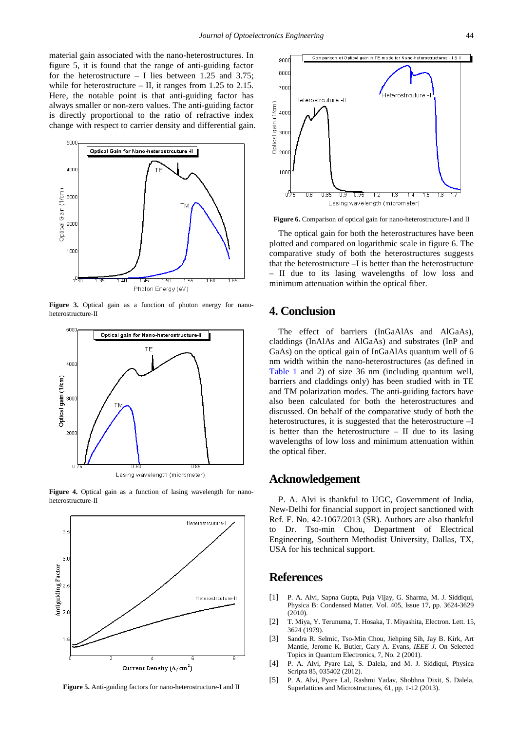material gain associated with the nano-heterostructures. In figure 5, it is found that the range of anti-guiding factor for the heterostructure – I lies between 1.25 and 3.75; while for heterostructure – II, it ranges from 1.25 to 2.15. Here, the notable point is that anti-guiding factor has always smaller or non-zero values. The anti-guiding factor is directly proportional to the ratio of refractive index change with respect to carrier density and differential gain.



Figure 3. Optical gain as a function of photon energy for nanoheterostructure-II







**Figure 5.** Anti-guiding factors for nano-heterostructure-I and II



**Figure 6.** Comparison of optical gain for nano-heterostructure-I and II

The optical gain for both the heterostructures have been plotted and compared on logarithmic scale in figure 6. The comparative study of both the heterostructures suggests that the heterostructure –I is better than the heterostructure – II due to its lasing wavelengths of low loss and minimum attenuation within the optical fiber.

#### **4. Conclusion**

The effect of barriers (InGaAlAs and AlGaAs), claddings (InAlAs and AlGaAs) and substrates (InP and GaAs) on the optical gain of InGaAlAs quantum well of 6 nm width within the nano-heterostructures (as defined in [Table 1](#page-1-0) and 2) of size 36 nm (including quantum well, barriers and claddings only) has been studied with in TE and TM polarization modes. The anti-guiding factors have also been calculated for both the heterostructures and discussed. On behalf of the comparative study of both the heterostructures, it is suggested that the heterostructure –I is better than the heterostructure  $-$  II due to its lasing wavelengths of low loss and minimum attenuation within the optical fiber.

#### **Acknowledgement**

P. A. Alvi is thankful to UGC, Government of India, New-Delhi for financial support in project sanctioned with Ref. F. No. 42-1067/2013 (SR). Authors are also thankful to Dr. Tso-min Chou, Department of Electrical Engineering, Southern Methodist University, Dallas, TX, USA for his technical support.

#### **References**

- <span id="page-2-0"></span>[1] P. A. Alvi, Sapna Gupta, Puja Vijay, G. Sharma, M. J. Siddiqui, Physica B: Condensed Matter, Vol. 405, Issue 17, pp. 3624-3629  $(2010)$ .
- <span id="page-2-1"></span>[2] T. Miya, Y. Terunuma, T. Hosaka, T. Miyashita, Electron. Lett. 15, 3624 (1979).
- <span id="page-2-2"></span>[3] Sandra R. Selmic, Tso-Min Chou, Jiehping Sih, Jay B. Kirk, Art Mantie, Jerome K. Butler, Gary A. Evans, *IEEE J.* On Selected Topics in Quantum Electronics, 7, No. 2 (2001).
- [4] P. A. Alvi, Pyare Lal, S. Dalela, and M. J. Siddiqui, Physica Scripta 85, 035402 (2012).
- [5] P. A. Alvi, Pyare Lal, Rashmi Yadav, Shobhna Dixit, S. Dalela, Superlattices and Microstructures, 61, pp. 1-12 (2013).